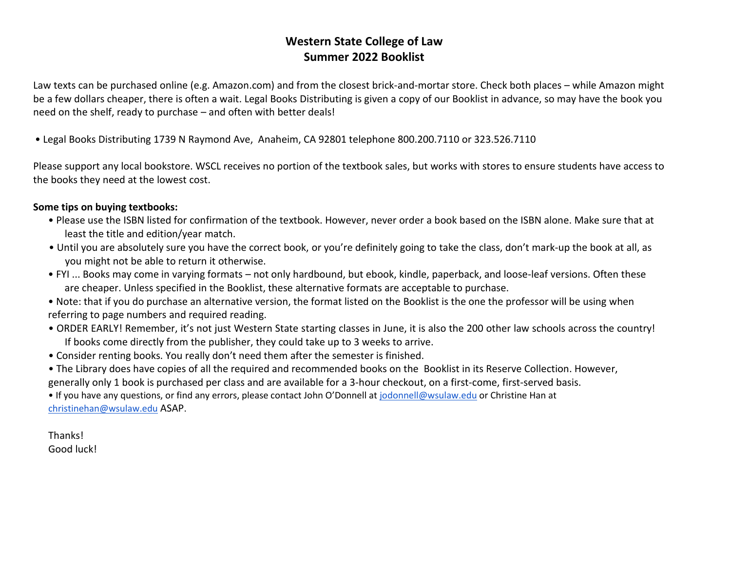## **Western State College of Law Summer 2022 Booklist**

Law texts can be purchased online (e.g. Amazon.com) and from the closest brick-and-mortar store. Check both places – while Amazon might be a few dollars cheaper, there is often a wait. Legal Books Distributing is given a copy of our Booklist in advance, so may have the book you need on the shelf, ready to purchase – and often with better deals!

• Legal Books Distributing 1739 N Raymond Ave, Anaheim, CA 92801 telephone 800.200.7110 or 323.526.7110

Please support any local bookstore. WSCL receives no portion of the textbook sales, but works with stores to ensure students have access to the books they need at the lowest cost.

## **Some tips on buying textbooks:**

- Please use the ISBN listed for confirmation of the textbook. However, never order a book based on the ISBN alone. Make sure that at least the title and edition/year match.
- Until you are absolutely sure you have the correct book, or you're definitely going to take the class, don't mark-up the book at all, as you might not be able to return it otherwise.
- FYI ... Books may come in varying formats not only hardbound, but ebook, kindle, paperback, and loose-leaf versions. Often these are cheaper. Unless specified in the Booklist, these alternative formats are acceptable to purchase.
- Note: that if you do purchase an alternative version, the format listed on the Booklist is the one the professor will be using when referring to page numbers and required reading.
- ORDER EARLY! Remember, it's not just Western State starting classes in June, it is also the 200 other law schools across the country! If books come directly from the publisher, they could take up to 3 weeks to arrive.
- Consider renting books. You really don't need them after the semester is finished.
- The Library does have copies of all the required and recommended books on the Booklist in its Reserve Collection. However, generally only 1 book is purchased per class and are available for a 3-hour checkout, on a first-come, first-served basis.

• If you have any questions, or find any errors, please contact John O'Donnell at [jodonnell@wsulaw.edu](mailto:jodonnell@wsulaw.edu) or Christine Han at [christinehan@wsulaw.edu](mailto:christinehan@wsulaw.edu) ASAP.

Thanks! Good luck!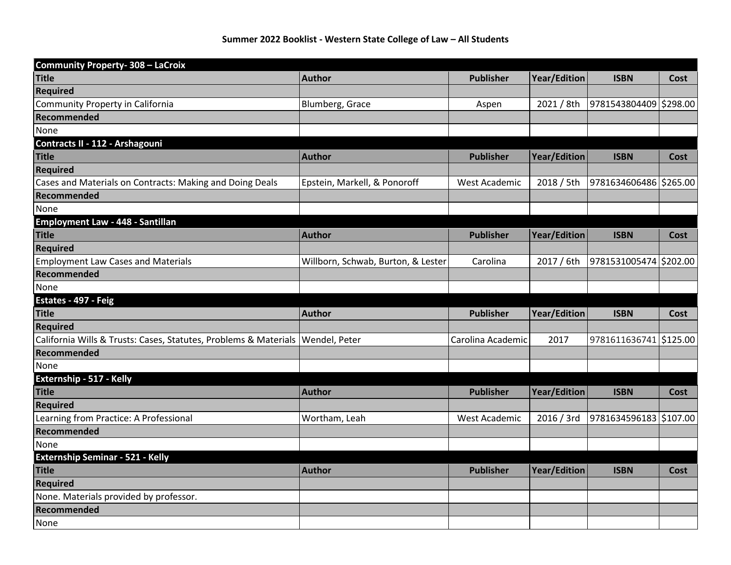| <b>Community Property-308 - LaCroix</b>                                          |                                    |                      |                     |                        |             |
|----------------------------------------------------------------------------------|------------------------------------|----------------------|---------------------|------------------------|-------------|
| <b>Title</b>                                                                     | <b>Author</b>                      | <b>Publisher</b>     | <b>Year/Edition</b> | <b>ISBN</b>            | Cost        |
| Required                                                                         |                                    |                      |                     |                        |             |
| Community Property in California                                                 | Blumberg, Grace                    | Aspen                | 2021 / 8th          | 9781543804409 \$298.00 |             |
| Recommended                                                                      |                                    |                      |                     |                        |             |
| None                                                                             |                                    |                      |                     |                        |             |
| Contracts II - 112 - Arshagouni                                                  |                                    |                      |                     |                        |             |
| <b>Title</b>                                                                     | <b>Author</b>                      | <b>Publisher</b>     | <b>Year/Edition</b> | <b>ISBN</b>            | Cost        |
| Required                                                                         |                                    |                      |                     |                        |             |
| Cases and Materials on Contracts: Making and Doing Deals                         | Epstein, Markell, & Ponoroff       | <b>West Academic</b> | 2018 / 5th          | 9781634606486 \$265.00 |             |
| Recommended                                                                      |                                    |                      |                     |                        |             |
| None                                                                             |                                    |                      |                     |                        |             |
| Employment Law - 448 - Santillan                                                 |                                    |                      |                     |                        |             |
| <b>Title</b>                                                                     | <b>Author</b>                      | <b>Publisher</b>     | <b>Year/Edition</b> | <b>ISBN</b>            | Cost        |
| Required                                                                         |                                    |                      |                     |                        |             |
| <b>Employment Law Cases and Materials</b>                                        | Willborn, Schwab, Burton, & Lester | Carolina             | 2017 / 6th          | 9781531005474 \$202.00 |             |
| Recommended                                                                      |                                    |                      |                     |                        |             |
| None                                                                             |                                    |                      |                     |                        |             |
| Estates - 497 - Feig                                                             |                                    |                      |                     |                        |             |
| <b>Title</b>                                                                     | <b>Author</b>                      | <b>Publisher</b>     | <b>Year/Edition</b> | <b>ISBN</b>            | <b>Cost</b> |
| <b>Required</b>                                                                  |                                    |                      |                     |                        |             |
| California Wills & Trusts: Cases, Statutes, Problems & Materials   Wendel, Peter |                                    | Carolina Academic    | 2017                | 9781611636741 \$125.00 |             |
| Recommended                                                                      |                                    |                      |                     |                        |             |
| None                                                                             |                                    |                      |                     |                        |             |
| Externship - 517 - Kelly                                                         |                                    |                      |                     |                        |             |
| <b>Title</b>                                                                     | <b>Author</b>                      | <b>Publisher</b>     | <b>Year/Edition</b> | <b>ISBN</b>            | <b>Cost</b> |
| <b>Required</b>                                                                  |                                    |                      |                     |                        |             |
| Learning from Practice: A Professional                                           | Wortham, Leah                      | West Academic        | 2016 / 3rd          | 9781634596183 \$107.00 |             |
| Recommended                                                                      |                                    |                      |                     |                        |             |
| None                                                                             |                                    |                      |                     |                        |             |
| <b>Externship Seminar - 521 - Kelly</b>                                          |                                    |                      |                     |                        |             |
| <b>Title</b>                                                                     | <b>Author</b>                      | <b>Publisher</b>     | <b>Year/Edition</b> | <b>ISBN</b>            | <b>Cost</b> |
| Required                                                                         |                                    |                      |                     |                        |             |
| None. Materials provided by professor.                                           |                                    |                      |                     |                        |             |
| Recommended                                                                      |                                    |                      |                     |                        |             |
| None                                                                             |                                    |                      |                     |                        |             |